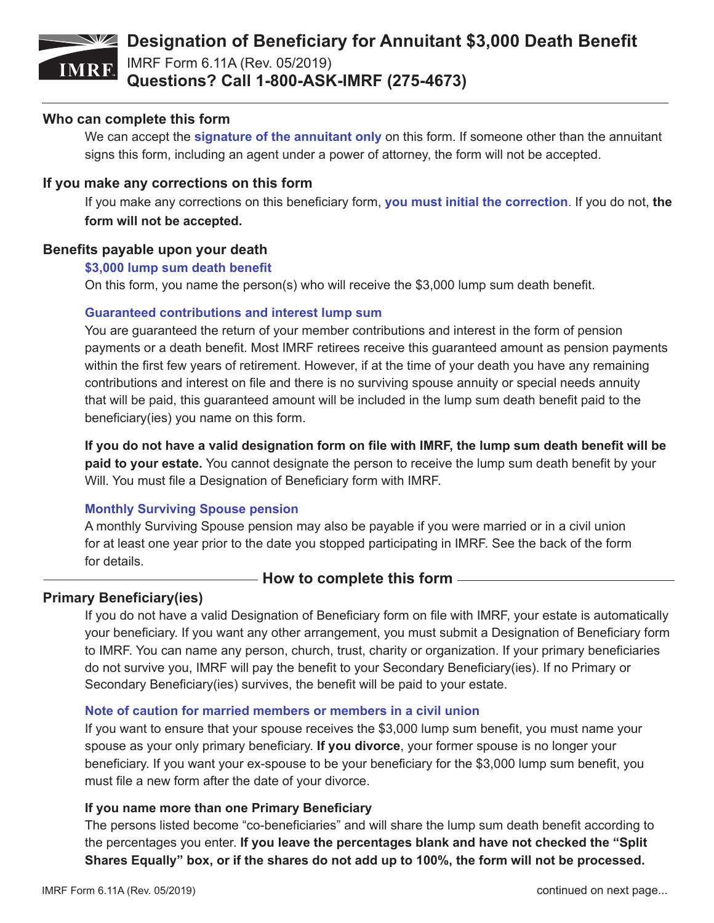# **IMRF**

### **Designation of Beneficiary for Annuitant \$3,000 Death Benefit**

IMRF Form 6.11A (Rev. 05/2019) **Questions? Call 1-800-ASK-IMRF (275-4673)**

#### **Who can complete this form**

We can accept the **signature of the annuitant only** on this form. If someone other than the annuitant signs this form, including an agent under a power of attorney, the form will not be accepted.

#### **If you make any corrections on this form**

If you make any corrections on this beneficiary form, **you must initial the correction**. If you do not, **the form will not be accepted.**

#### **Benefits payable upon your death**

#### **\$3,000 lump sum death benefit**

On this form, you name the person(s) who will receive the \$3,000 lump sum death benefit.

#### **Guaranteed contributions and interest lump sum**

You are guaranteed the return of your member contributions and interest in the form of pension payments or a death benefit. Most IMRF retirees receive this guaranteed amount as pension payments within the first few years of retirement. However, if at the time of your death you have any remaining contributions and interest on file and there is no surviving spouse annuity or special needs annuity that will be paid, this guaranteed amount will be included in the lump sum death benefit paid to the beneficiary(ies) you name on this form.

**If you do not have a valid designation form on file with IMRF, the lump sum death benefit will be paid to your estate.** You cannot designate the person to receive the lump sum death benefit by your Will. You must file a Designation of Beneficiary form with IMRF.

#### **Monthly Surviving Spouse pension**

A monthly Surviving Spouse pension may also be payable if you were married or in a civil union for at least one year prior to the date you stopped participating in IMRF. See the back of the form for details.

#### – **How to complete this form** –

#### **Primary Beneficiary(ies)**

If you do not have a valid Designation of Beneficiary form on file with IMRF, your estate is automatically your beneficiary. If you want any other arrangement, you must submit a Designation of Beneficiary form to IMRF. You can name any person, church, trust, charity or organization. If your primary beneficiaries do not survive you, IMRF will pay the benefit to your Secondary Beneficiary(ies). If no Primary or Secondary Beneficiary(ies) survives, the benefit will be paid to your estate.

#### **Note of caution for married members or members in a civil union**

If you want to ensure that your spouse receives the \$3,000 lump sum benefit, you must name your spouse as your only primary beneficiary. **If you divorce**, your former spouse is no longer your beneficiary. If you want your ex-spouse to be your beneficiary for the \$3,000 lump sum benefit, you must file a new form after the date of your divorce.

#### **If you name more than one Primary Beneficiary**

The persons listed become "co-beneficiaries" and will share the lump sum death benefit according to the percentages you enter. **If you leave the percentages blank and have not checked the "Split Shares Equally" box, or if the shares do not add up to 100%, the form will not be processed.**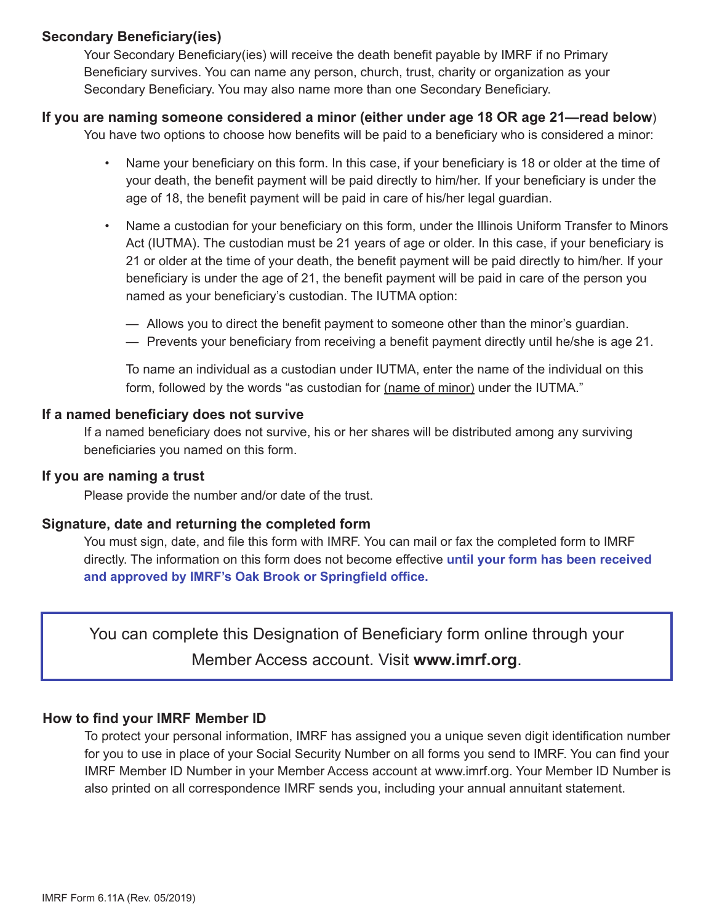#### **Secondary Beneficiary(ies)**

Your Secondary Beneficiary(ies) will receive the death benefit payable by IMRF if no Primary Beneficiary survives. You can name any person, church, trust, charity or organization as your Secondary Beneficiary. You may also name more than one Secondary Beneficiary.

#### **If you are naming someone considered a minor (either under age 18 OR age 21—read below**)

You have two options to choose how benefits will be paid to a beneficiary who is considered a minor:

- Name your beneficiary on this form. In this case, if your beneficiary is 18 or older at the time of your death, the benefit payment will be paid directly to him/her. If your beneficiary is under the age of 18, the benefit payment will be paid in care of his/her legal guardian.
- Name a custodian for your beneficiary on this form, under the Illinois Uniform Transfer to Minors Act (IUTMA). The custodian must be 21 years of age or older. In this case, if your beneficiary is 21 or older at the time of your death, the benefit payment will be paid directly to him/her. If your beneficiary is under the age of 21, the benefit payment will be paid in care of the person you named as your beneficiary's custodian. The IUTMA option:
	- Allows you to direct the benefit payment to someone other than the minor's guardian.
	- Prevents your beneficiary from receiving a benefit payment directly until he/she is age 21.

To name an individual as a custodian under IUTMA, enter the name of the individual on this form, followed by the words "as custodian for (name of minor) under the IUTMA."

#### **If a named beneficiary does not survive**

If a named beneficiary does not survive, his or her shares will be distributed among any surviving beneficiaries you named on this form.

#### **If you are naming a trust**

Please provide the number and/or date of the trust.

#### **Signature, date and returning the completed form**

You must sign, date, and file this form with IMRF. You can mail or fax the completed form to IMRF directly. The information on this form does not become effective **until your form has been received and approved by IMRF's Oak Brook or Springfield office.**

You can complete this Designation of Beneficiary form online through your Member Access account. Visit **www.imrf.org**.

#### **How to find your IMRF Member ID**

To protect your personal information, IMRF has assigned you a unique seven digit identification number for you to use in place of your Social Security Number on all forms you send to IMRF. You can find your IMRF Member ID Number in your Member Access account at www.imrf.org. Your Member ID Number is also printed on all correspondence IMRF sends you, including your annual annuitant statement.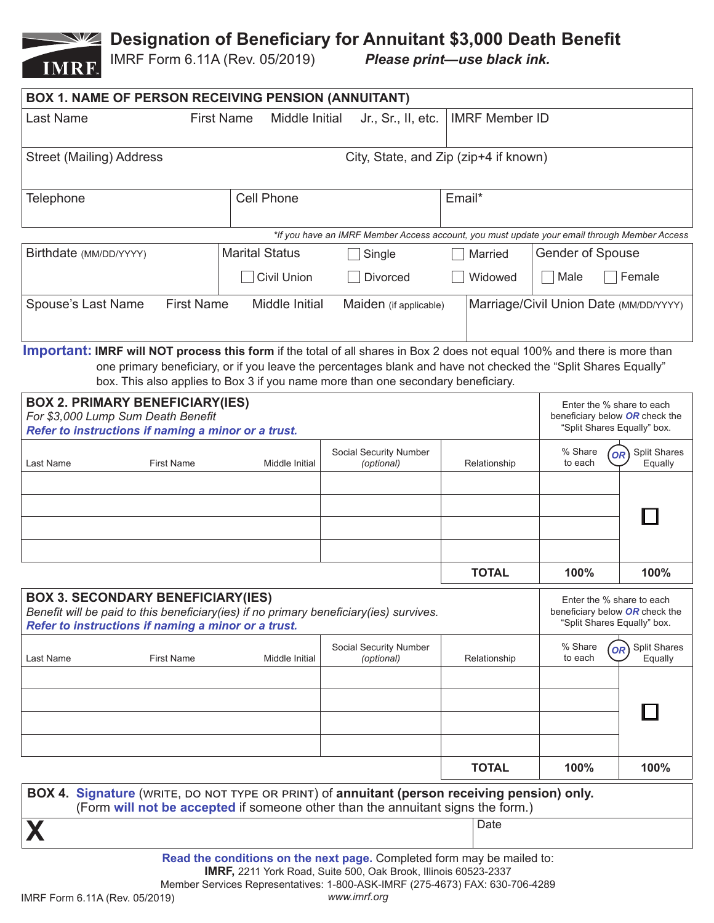# **Designation of Beneficiary for Annuitant \$3,000 Death Benefit**<br>IMRF Form 6.11A (Rev. 05/2019) Please print—use black ink.



IMRF Form 6.11A (Rev. 05/2019)

| <b>BOX 1. NAME OF PERSON RECEIVING PENSION (ANNUITANT)</b>                                                                                                                                         |                   |                       |                                                                                                                                                                                                                           |                       |                                                                                            |                                            |
|----------------------------------------------------------------------------------------------------------------------------------------------------------------------------------------------------|-------------------|-----------------------|---------------------------------------------------------------------------------------------------------------------------------------------------------------------------------------------------------------------------|-----------------------|--------------------------------------------------------------------------------------------|--------------------------------------------|
| <b>Last Name</b>                                                                                                                                                                                   | <b>First Name</b> | Middle Initial        | Jr., Sr., II, etc.                                                                                                                                                                                                        | <b>IMRF Member ID</b> |                                                                                            |                                            |
| <b>Street (Mailing) Address</b><br>City, State, and Zip (zip+4 if known)                                                                                                                           |                   |                       |                                                                                                                                                                                                                           |                       |                                                                                            |                                            |
| <b>Cell Phone</b><br><b>Telephone</b>                                                                                                                                                              |                   |                       |                                                                                                                                                                                                                           | Email*                |                                                                                            |                                            |
|                                                                                                                                                                                                    |                   |                       | *If you have an IMRF Member Access account, you must update your email through Member Access                                                                                                                              |                       |                                                                                            |                                            |
| Birthdate (MM/DD/YYYY)                                                                                                                                                                             |                   | <b>Marital Status</b> | Single                                                                                                                                                                                                                    | Married               | <b>Gender of Spouse</b>                                                                    |                                            |
|                                                                                                                                                                                                    |                   | <b>Civil Union</b>    | <b>Divorced</b>                                                                                                                                                                                                           | Widowed               | Male                                                                                       | Female                                     |
| <b>First Name</b><br>Spouse's Last Name<br>Middle Initial<br>Marriage/Civil Union Date (MM/DD/YYYY)<br>Maiden (if applicable)                                                                      |                   |                       |                                                                                                                                                                                                                           |                       |                                                                                            |                                            |
| <b>Important: IMRF will NOT process this form</b> if the total of all shares in Box 2 does not equal 100% and there is more than                                                                   |                   |                       |                                                                                                                                                                                                                           |                       |                                                                                            |                                            |
| one primary beneficiary, or if you leave the percentages blank and have not checked the "Split Shares Equally"<br>box. This also applies to Box 3 if you name more than one secondary beneficiary. |                   |                       |                                                                                                                                                                                                                           |                       |                                                                                            |                                            |
| <b>BOX 2. PRIMARY BENEFICIARY(IES)</b><br>For \$3,000 Lump Sum Death Benefit<br>Refer to instructions if naming a minor or a trust.                                                                |                   |                       |                                                                                                                                                                                                                           |                       | Enter the % share to each<br>beneficiary below OR check the<br>"Split Shares Equally" box. |                                            |
| Social Security Number                                                                                                                                                                             |                   |                       |                                                                                                                                                                                                                           |                       | % Share<br>Split Shares<br><b>OR</b>                                                       |                                            |
| Last Name                                                                                                                                                                                          | <b>First Name</b> | Middle Initial        | (optional)                                                                                                                                                                                                                | Relationship          | to each                                                                                    | Equally                                    |
|                                                                                                                                                                                                    |                   |                       |                                                                                                                                                                                                                           |                       |                                                                                            |                                            |
|                                                                                                                                                                                                    |                   |                       |                                                                                                                                                                                                                           |                       |                                                                                            |                                            |
|                                                                                                                                                                                                    |                   |                       |                                                                                                                                                                                                                           |                       |                                                                                            |                                            |
|                                                                                                                                                                                                    |                   |                       |                                                                                                                                                                                                                           | <b>TOTAL</b>          | 100%                                                                                       | 100%                                       |
| <b>BOX 3. SECONDARY BENEFICIARY(IES)</b><br>Benefit will be paid to this beneficiary(ies) if no primary beneficiary(ies) survives.<br>Refer to instructions if naming a minor or a trust.          |                   |                       |                                                                                                                                                                                                                           |                       | Enter the % share to each<br>beneficiary below OR check the<br>"Split Shares Equally" box. |                                            |
| Last Name                                                                                                                                                                                          | <b>First Name</b> | Middle Initial        | Social Security Number<br>(optional)                                                                                                                                                                                      | Relationship          | % Share<br>to each                                                                         | Split Shares<br>OR <sup>1</sup><br>Equally |
|                                                                                                                                                                                                    |                   |                       |                                                                                                                                                                                                                           |                       |                                                                                            |                                            |
|                                                                                                                                                                                                    |                   |                       |                                                                                                                                                                                                                           |                       |                                                                                            |                                            |
|                                                                                                                                                                                                    |                   |                       |                                                                                                                                                                                                                           | <b>TOTAL</b>          | 100%                                                                                       | 100%                                       |
| BOX 4. Signature (WRITE, DO NOT TYPE OR PRINT) of annuitant (person receiving pension) only.<br>(Form will not be accepted if someone other than the annuitant signs the form.)                    |                   |                       |                                                                                                                                                                                                                           |                       |                                                                                            |                                            |
|                                                                                                                                                                                                    |                   |                       |                                                                                                                                                                                                                           | Date                  |                                                                                            |                                            |
|                                                                                                                                                                                                    |                   |                       | Read the conditions on the next page. Completed form may be mailed to:<br>IMRF, 2211 York Road, Suite 500, Oak Brook, Illinois 60523-2337<br>Member Services Representatives: 1-800-ASK-IMRF (275-4673) FAX: 630-706-4289 |                       |                                                                                            |                                            |